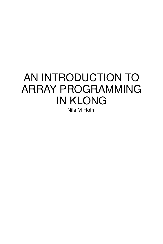## AN INTRODUCTION TO ARRAY PROGRAMMING IN KLONG

Nils M Holm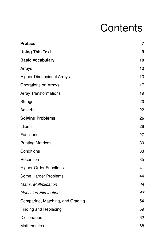## **Contents**

| <b>Preface</b>                   | $\overline{7}$ |
|----------------------------------|----------------|
| <b>Using This Text</b>           | 9              |
| <b>Basic Vocabulary</b>          | 10             |
| Arrays                           | 10             |
| <b>Higher-Dimensional Arrays</b> | 13             |
| <b>Operations on Arrays</b>      | 17             |
| <b>Array Transformations</b>     | 19             |
| <b>Strings</b>                   | 20             |
| Adverbs                          | 22             |
| <b>Solving Problems</b>          | 26             |
| Idioms                           | 26             |
| <b>Functions</b>                 | 27             |
| <b>Printing Matrices</b>         | 30             |
| Conditions                       | 33             |
| Recursion                        | 35             |
| <b>Higher-Order Functions</b>    | 41             |
| Some Harder Problems             | 44             |
| <b>Matrix Multiplication</b>     | 44             |
| <b>Gaussian Elimination</b>      | 47             |
| Comparing, Matching, and Grading | 54             |
| <b>Finding and Replacing</b>     | 59             |
| <b>Dictionaries</b>              | 62             |
| <b>Mathematics</b>               | 68             |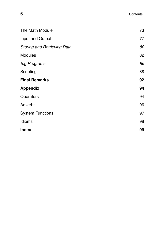| The Math Module                    | 73 |
|------------------------------------|----|
| Input and Output                   | 77 |
| <b>Storing and Retrieving Data</b> | 80 |
| Modules                            | 82 |
| <b>Big Programs</b>                | 86 |
| Scripting                          | 88 |
| <b>Final Remarks</b>               | 92 |
| <b>Appendix</b>                    | 94 |
| Operators                          | 94 |
| Adverbs                            | 96 |
| <b>System Functions</b>            | 97 |
| Idioms                             | 98 |
| <b>Index</b>                       | 99 |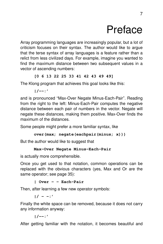## Preface

Array programming languages are increasingly popular, but a lot of criticism focuses on their syntax. The author would like to argue that the terse syntax of array languages is a feature rather than a relict from less civilized days. For example, imagine you wanted to find the maximum distance between two subsequent values in a vector of ascending numbers:

#### **[0 6 13 22 25 33 41 42 43 49 49]**

The Klong program that achieves this goal looks like this:

**|/--:'**

and is pronounced ''Max-Over Negate Minus-Each-Pair''. Reading from the right to the left: Minus-Each-Pair computes the negative distance between each pair of numbers in the vector. Negate will negate these distances, making them positive. Max-Over finds the maximum of the distances.

Some people might prefer a more familiar syntax, like

```
over(max; negate(eachpair(minus; x)))
```
But the author would like to suggest that

#### **Max-Over Negate Minus-Each-Pair**

is actually more comprehensible.

Once you get used to that notation, common operations can be replaced with the obvious characters (yes, Max and Or are the same operator; see page 35):

**| Over - - Each-Pair**

Then, after learning a few new operator symbols:

 $|1 - 1|$ 

Finally the white space can be removed, because it does not carry any information anyway:

**|/--:'**

After getting familiar with the notation, it becomes beautiful and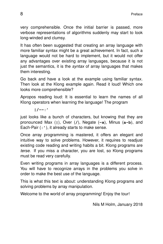very comprehensible. Once the initial barrier is passed, more verbose representations of algorithms suddenly may start to look long-winded and clumsy.

It has often been suggested that creating an array language with more familiar syntax might be a great achievement. In fact, such a language would not be hard to implement, but it would not offer any advantages over existing array languages, because it is not just the semantics, it is the *syntax* of array languages that makes them interesting.

Go back and have a look at the example using familiar syntax. Then look at the Klong example again. Read it loud! Which one looks more comprehensible?

Apropos reading loud: It is essential to learn the names of all Klong operators when learning the language! The program

**|/--:'**

just looks like a bunch of characters, but knowing that they are pronounced Max (**|**), Over (**/**), Negate (**-x**), Minus (**a-b**), and Each-Pair (**:'**), it already starts to make sense.

Once array programming is mastered, it offers an elegant and intuitive way to solve problems. However, it requires to readjust existing code reading and writing habits a bit. Klong programs are terse. If you miss a character, you are lost, so Klong programs must be read very carefully.

Even writing programs in array languages is a different process. You will have to recognize arrays in the problems you solve in order to make the best use of the language.

This is what this text is about: understanding Klong programs and solving problems by array manipulation.

Welcome to the world of array programming! Enjoy the tour!

Nils M Holm, January 2018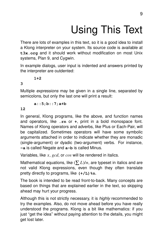# Using This Text

There are lots of examples in this text, so it is a good idea to install a Klong interpreter on your system. Its source code is available at t3x.org and it should work without modification on most Unix systems, Plan 9, and Cygwin.

In example dialogs, user input is indented and answers printed by the interpreter are outdented:

#### **1+2**

#### **3**

Multiple *expressions* may be given in a single line, separated by semicolons, but only the last one will print a result:

**a::5;b::7;a+b**

#### **12**

In general, Klong programs, like the above, and function names and operators, like **.rn** or **+**, print in a bold monospace font. Names of Klong operators and adverbs, like Plus or Each-Pair, will be capitalized. Sometimes operators will have some symbolic arguments attached in order to indicate whether they are monadic (single-argument) or dyadic (two-argument) verbs. For instance, **-a** is called Negate and **a-b** is called Minus.

Variables, like *x*, *gcd*, or *cos* will be rendered in italics.

Mathematical equations, like  $(\sum L)/n$ , are typeset in italics and are not valid Klong expressions, even though they often translate pretty directly to programs, like **(+/L)%n**.

The book is intended to be read front-to-back. Many concepts are based on things that are explained earlier in the text, so skipping ahead may hurt your progress.

Although this is not strictly necessary, it is highly recommended to try the examples. Also, do not move ahead before you have really understood the programs. Klong is a bit like mathematics: if you just ''get the idea'' without paying attention to the details, you might get lost later.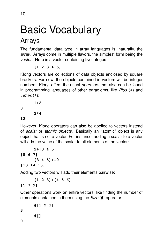# **Basic Vocabulary**

## Arrays

The fundamental data type in array languages is, naturally, the array. Arrays come in multiple flavors, the simplest form being the vector. Here is a vector containing five integers:

**[1 2 3 4 5]**

Klong vectors are collections of data objects enclosed by square brackets. For now, the objects contained in vectors will be integer numbers. Klong offers the usual *operators* that also can be found in programming languages of other paradigms, like Plus (**+**) and Times (**\***):

**1+2**

**3**

**3\*4**

#### **12**

However, Klong operators can also be applied to vectors instead of scalar or atomic objects. Basically an "atomic" object is any object that is not a vector. For instance, adding a scalar to a vector will add the value of the scalar to all elements of the vector:

```
2+[3 4 5]
[5 6 7]
     [3 4 5]+10
[13 14 15]
```
Adding two vectors will add their elements pairwise:

**[1 2 3]+[4 5 6]**

#### **[5 7 9]**

Other operations work on entire vectors, like finding the number of elements contained in them using the Size (**#**) operator :

**#[1 2 3] #[]**

**3**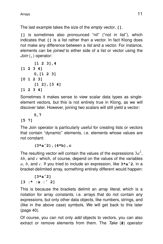The last example takes the size of the empty vector, **[]**.

[1] is sometimes also pronounced "nil" ("not in list"), which indicates that **[]** is a list rather than a vector. In fact Klong does not make any difference between a *list* and a vector. For instance, elements can be joined to either side of a list or vector using the Join (**,**) operator :

**[1 2 3],4 [1 2 3 4] 0,[1 2 3] [0 1 2 3] [1 2],[3 4] [1 2 3 4]**

Sometimes it makes sense to view scalar data types as singleelement vectors, but this is not entirely true in Klong, as we will discover later. However, joining two scalars will still yield a vector:

#### **5,7**

#### **[5 7]**

The Join operator is particularly useful for creating lists or vectors that contain ''dynamic'' elements, i.e. elements whose values are not constant:

#### **(3\*aˆ2),(4\*b),c**

The resulting vector will contain the values of the expressions  $3a^2$ , 4*b*, and *c* which, of course, depend on the values of the var iables *a*, *b*, and *c*. If you tried to include an expression, like **3\*aˆ2**, in a bracket-delimited array, something entirely different would happen:

#### **[3\*aˆ2]**

**[3 :\* :a :ˆ 2]**

This is because the brackets delimit an *array literal*, which is a notation for array constants, i.e. arrays that do not contain any expressions, but only other data objects, like numbers, strings, and (like in the above case) symbols. We will get back to this later (page 40).

Of course, you can not only add objects to vectors, you can also extract or remove elements from them. The Take (**#**) operator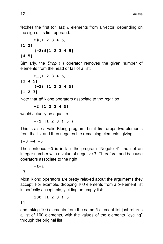fetches the first (or last) *n* elements from a vector, depending on the sign of its first operand:

**2#[1 2 3 4 5] [1 2] (-2)#[1 2 3 4 5] [4 5]**

Similarly, the *Drop* (\_) operator removes the given number of elements from the head or tail of a list:

**2\_[1 2 3 4 5] [3 4 5] (-2)\_[1 2 3 4 5] [1 2 3]**

Note that all Klong operators associate to the *right*, so

**-2\_[1 2 3 4 5]**

would actually be equal to

**-(2\_[1 2 3 4 5])**

This is also a valid Klong program, but it first drops two elements from the list and then negates the remaining elements, giving

**[-3 -4 -5]**

The sentence **-3** is in fact the program ''Negate 3'' and not an integer number with a value of negative 3. Therefore, and because operators associate to the right:

#### **-3+4**

**-7**

Most Klong operators are pretty relaxed about the arguments they accept. For example, dropping 100 elements from a 5-element list is perfectly acceptable, yielding an empty list:

**100\_[1 2 3 4 5]**

**[]**

and taking 100 elements from the same 5-element list just returns a list of 100 elements, with the values of the elements ''cycling'' through the original list: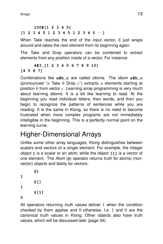#### **100#[1 2 3 4 5] [1 2 3 4 5 1 2 3 4 5 1 2 3 4 5** ...**]**

When Take reaches the end of the input vector, it just wraps around and takes the next element from its beginning again.

The Take and Drop operators can be combined to extract elements from any position inside of a vector. For instance:

#### **4#3\_[1 2 3 4 5 6 7 8 9 10] [4 5 6 7]**

Combinations like **a#b\_c** are called idioms. The idiom **a#b\_c** (pronounced ''*a* Take *b* Drop *c*'') extracts *a* elements starting at position *b* from vector *c*. Learning array programming is very much about learning idioms. It is a bit like learning to read. At the beginning you read individual letters, then words, and then you begin to recognize the patterns of sentences while you are reading. It is the same in Klong, so there is no need to become frustrated when more complex programs are not immediately intelligible in the beginning. This is a perfectly normal point on the learning curve.

## Higher-Dimensional Arrays

Unlike some other array languages, Klong distinguishes between scalars and vectors of a single element. For example, the integer object **1** is a scalar or an atom, while the object **[1]** is a vector of one element. The Atom (**@**) operator returns truth for atomic (nonvector) objects and falsity for vectors:

```
@1
1
       @[]
1
       @[1]
0
```
All operators returning *truth values* deliver 1 when the condition checked by them applies and 0 otherwise. I.e. 1 and 0 are the canonical truth values in Klong. Other objects also have truth values, which will be discussed later (page 34).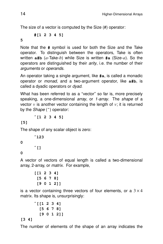The size of a vector is computed by the Size (#) operator :

**#[1 2 3 4 5]**

**5**

Note that the **#** symbol is used for both the Size and the Take operator. To distinguish between the operators, Take is often wr itten **a#b** (*a*-Take-*b*) while Size is written **#a** (Size-*a*). So the operators are distinguished by their *arity*, i.e. the number of their arguments or operands.

An operator taking a single argument, like **#a**, is called a monadic operator or monad, and a two-argument operator, like **a#b**, is called a dyadic operators or dyad.

What has been referred to as a "vector" so far is, more precisely speaking, a one-dimensional *array*, or 1-array. The shape of a vector  $v$  is another vector containing the length of  $v$ ; it is returned by the Shape (**ˆ**) operator :

**ˆ[1 2 3 4 5]**

**[5]**

The shape of any scalar object is zero:

**ˆ123**

 $\hat{}$ []

**0**

**0**

A vector of vectors of equal length is called a two-dimensional array, 2-array, or *matrix*. For example,

```
[[1 2 3 4]
 [5 6 7 8]
 [9 0 1 2]]
```
is a vector containing three vectors of four elements, or a  $3 \times 4$ matrix. Its shape is, unsurprisingly:

```
ˆ[[1 2 3 4]
  [5 6 7 8]
  [9 0 1 2]]
```
#### **[3 4]**

The number of elements of the shape of an array indicates the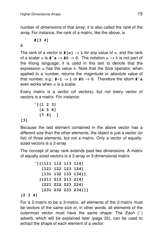number of dimensions of that array; it is also called the rank of the array. For instance, the rank of a matrix, like the above, is

**#[3 4]**

**2**

The rank of a vector is  $\#[n] \rightarrow 1$  for any value of *n*, and the rank of a scalar *a* is **#ˆa** → **#0** → **0**. The notation *a* → *b* is not part of the Klong language; it is used in this text to denote that the expression *a* has the value *b*. Note that the Size operator, when applied to a number, returns the *magnitude* or *absolute value* of that number, e.g.:  $# -1 \rightarrow 1$  or  $#0 \rightarrow 0$ . Therefore the idiom  $#^{\sim} a$ even works when  $a$  is a scalar.

Every matrix is a vector (of vectors), but not every vector of vectors is a matrix. For instance:

```
ˆ[[1 2 3]
  [4 5 6]
  [7 8] ]
```
#### **[3]**

Because the last element contained in the above vector has a different size than the other elements, the object is just a vector (or list) of three elements, but not a matrix. Only a vector of equallysized vectors is a 2-array.

The concept of array rank extends past two dimensions. A matrix of equally sized vectors is a 3-array or 3-dimensional matrix:

```
ˆ[[[111 112 113 114]
         [121 122 123 124]
         [131 132 133 134]]
        [[211 212 213 214]
         [221 222 223 224]
         [231 232 233 234]]]
[2 3 4]
```
For a 2-matrix to be a 3-matrix, all elements of the 2-matrix must be vectors of the same size or, in other words, all elements of the outermost vector must have the same shape. The *Each* (') adverb, which will be explained later (page 22), can be used to extract the shape of each element of a vector: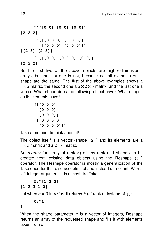```
ˆ'[[0 0] [0 0] [0 0]]
[2 2 2]
     ˆ'[[[0 0 0] [0 0 0]]
         [[0 0 0] [0 0 0]]]
[[2 3] [2 3]]
     ˆ'[[[0 0] [0 0 0] [0 0]]
[2 3 2]
```
So the first two of the above objects are higher-dimensional arrays, but the last one is not, because not all elements of its shape are the same. The first of the above examples shows a  $3 \times 2$  matrix, the second one a  $2 \times 2 \times 3$  matrix, and the last one a vector. What shape does the following object have? What shapes do its elements have?

```
[[[0 0 0]
  [0 0 0]
  [0 0 0]]
 [[0 0 0 0]
  [0 0 0 0]]]
```
Take a moment to think about it!

The object itself is a vector (shape **[2]**) and its elements are a  $3 \times 3$  matrix and a  $2 \times 4$  matrix.

An n-array (an array of rank *n*) of any rank and shape can be created from existing data objects using the Reshape (**:ˆ**) operator. The Reshape operator is mostly a generalization of the Take operator that also accepts a shape instead of a count. With a left integer argument, it is almost like Take

```
5:ˆ[1 2 3]
[1 2 3 1 2]
```
but when  $a = 0$  in  $\mathbf{a} : \mathbf{b}$ , it returns b (of rank 0) instead of []:

```
0:ˆ1
```
**1**

When the shape parameter *a* is a vector of integers, Reshape returns an array of the requested shape and fills it with elements taken from *b*: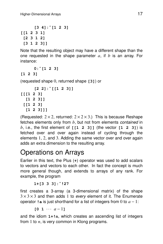```
[3 4]:ˆ[1 2 3]
[[1 2 3 1]
 [2 3 1 2]
 [3 1 2 3]]
```
Note that the resulting object may have a different shape than the one requested in the shape parameter *a*, if *b* is an array. For instance:

**0:ˆ[1 2 3]**

#### **[1 2 3]**

(requested shape 0, retur ned shape **[3]**) or

```
[2 2]:ˆ[[1 2 3]]
[[[1 2 3]
  [1 2 3]]
 [[1 2 3]
  [1 2 3]]]
```
(Requested:  $2 \times 2$ , returned:  $2 \times 2 \times 3$ .) This is because Reshape fetches elements only from *b*, but not from elements contained in *b*, i.e., the first element of **[[1 2 3]]** (the vector **[1 2 3]**) is fetched over and over again instead of cycling through the elements 1, 2, and 3. Adding the same vector over and over again adds an extra dimension to the resulting array.

## Operations on Arrays

Earlier in this text, the Plus (+) operator was used to add scalars to vectors and vectors to each other. In fact the concept is much more general though, and extends to arrays of any rank. For example, the program

**1+[3 3 3]:ˆ!27**

first creates a 3-array (a 3-dimensional matrix) of the shape  $3 \times 3 \times 3$  and then adds 1 to every element of it. The Enumerate operator **!** a is just shorthand for a list of integers from 0 to  $a - 1$ :

 $[0 \ 1 \ \cdots \ a-1]$ 

and the idiom **1+!n**, which creates an ascending list of integers from 1 to  $n$ , is very common in Klong programs.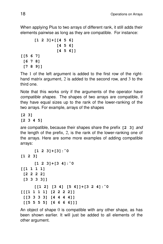When applying Plus to two arrays of different rank, it still adds their elements pairwise as long as they are compatible. For instance:

```
[1 2 3]+[[4 5 6]
               [4 5 6]
               [4 5 6]]
[[5 6 7]
 [6 7 8]
 [7 8 9]]
```
The 1 of the left argument is added to the first row of the righthand matrix argument, 2 is added to the second row, and 3 to the third one.

Note that this works only if the arguments of the operator have compatible shapes. The shapes of two arrays are compatible, if they have equal sizes up to the rank of the lower-ranking of the two arrays. For example, arrays of the shapes

**[2 3] [2 3 4 5]**

are compatible, because their shapes share the prefix **[2 3]** and the length of the prefix, 2, is the rank of the lower-ranking one of the arrays. Here are some more examples of adding compatible arrays:

```
[1 2 3]+[3]:ˆ0
[1 2 3]
     [1 2 3]+[3 4]:ˆ0
[[1 1 1 1]
 [2 2 2 2]
 [3 3 3 3]]
     [[1 2] [3 4] [5 6]]+[3 2 4]:ˆ0
[[[1 1 1 1] [2 2 2 2]]
 [[3 3 3 3] [4 4 4 4]]
 [[5 5 5 5] [6 6 6 6]]]
```
An object of shape 0 is compatible with any other shape, as has been shown earlier. It will just be added to all elements of the other argument.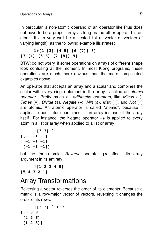In particular, a non-atomic operand of an operator like Plus does not have to be a proper array as long as the other operand is an atom. It can very well be a nested list (a vector or vectors of varying length), as the following example illustrates:

#### **1+[2 [3] [4 5] [6 [7]] 8] [3 [4] [5 6] [7 [8]] 9]**

BTW: do not worry, if some operations on arrays of different shape look confusing at the moment. In most Klong programs, these operations are much more obvious than the more complicated examples above.

An operator that accepts an array and a scalar and combines the scalar with every single element in the array is called an *atomic* operator. Pretty much all ar ithmetic operators, like Minus (**-**), Times (**\***), Divide (**%**), Negate (**-**), Min (**&**), Max (**|**), and Not (**˜**) are atomic. An atomic operator is called ''atomic'', because it applies to each atom contained in an array instead of the array itself. For instance, the Negate operator **-a** is applied to every atom in a list or array when applied to a list or array:

```
-[3 3]:ˆ1
[[-1 -1 -1]
 [-1 -1 -1]
 [-1 -1 -1]]
```
but the (non-atomic) Reverse operator **|a** affects its array argument in its entirety:

```
|[1 2 3 4 5]
[5 4 3 2 1]
```
### **Array Transformations**

Reversing a vector reverses the order of its elements. Because a matrix is a row-major vector of vectors, reversing it changes the order of its rows:

```
|[3 3]:ˆ1+!9
[[7 8 9]
 [4 5 6]
 [1 2 3]]
```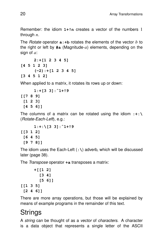Remember: the idiom 1+!n creates a vector of the numbers 1 through *n*.

The Rotate operator **a:+b** rotates the elements of the vector *b* to the right or left by **#a** (Magnitude-*a*) elements, depending on the sign of *a*:

**2:+[1 2 3 4 5] [4 5 1 2 3] (-2):+[1 2 3 4 5] [3 4 5 1 2]**

When applied to a matrix, it rotates its rows up or down:

```
1:+[3 3]:ˆ1+!9
[[7 8 9]
 [1 2 3]
 [4 5 6]]
```
The columns of a matrix can be rotated using the idiom **:+:\** (Rotate-Each-Left), e.g.:

```
1:+:\[3 3]:ˆ1+!9
[[3 1 2]
 [6 4 5]
 [9 7 8]]
```
The idiom uses the Each-Left (**:\**) adverb, which will be discussed later (page 38).

The *Transpose* operator **+a** transposes a matrix:

```
+[[1 2]
        [3 4]
        [5 6]]
[[1 3 5]
 [2 4 6]]
```
There are more array operations, but those will be explained by means of example programs in the remainder of this text.

## Strings

A string can be thought of as a vector of characters. A character is a data object that represents a single letter of the ASCII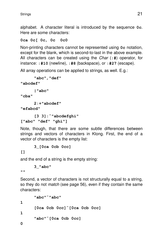alphabet. A character literal is introduced by the sequence **0c**. Here are some characters:

#### **0ca 0c[ 0c, 0c 0c0**

Non-printing characters cannot be represented using  $0c$  notation, except for the blank, which is second-to-last in the above example. All characters can be created using the Char (**:#**) operator, for instance: **:#10** (newline), **:#8** (backspace), or **:#27** (escape).

All array operations can be applied to strings, as well. E.g.:

```
"abc","def"
"abcdef"
      |"abc"
"cba"
     2:+"abcdef"
"efabcd"
      [3 3]:ˆ"abcdefghi"
```

```
["abc" "def" "ghi"]
```
Note, though, that there are some subtle differences between strings and vectors of characters in Klong. First, the end of a vector of characters is the empty list:

**3\_[0ca 0cb 0cc]**

**[]**

and the end of a string is the empty string:

```
3_"abc"
```
**""**

Second, a vector of characters is not structurally equal to a string, so they do not match (see page 56), even if they contain the same characters:

```
"abc"˜"abc"
1
     [0ca 0cb 0cc]˜[0ca 0cb 0cc]
1
     "abc"˜[0ca 0cb 0cc]
0
```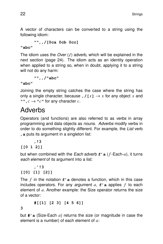A vector of characters can be converted to a string using the following idiom:

**"",,/[0ca 0cb 0cc]**

**"abc"**

The idiom uses the Over (**/**) adverb, which will be explained in the next section (page 24). The idiom acts as an identity operation when applied to a string so, when in doubt, applying it to a string will not do any harm:

**"",,/"abc"**

**"abc"**

Joining the empty string catches the case where the string has only a single character, because ,  $\ell[x] \rightarrow x$  for any object x and **"**",  $c \rightarrow$  " $c$ " for any character  $c$ .

## Adverbs

Operators (and functions) are also referred to as verbs in array programming and data objects as nouns. Adverbs modify verbs in order to do something slightly different. For example, the List verb **,a** puts its argument in a singleton list:

```
,!3
```

```
[[0 1 2]]
```
but when combined with the Each adverb **f'a** ( *f* -Each-*a*), it turns each element of its argument into a list:

```
,'!3
[[0] [1] [2]]
```
The *f* in the notation **f'a** denotes a function, which in this case includes operators. For any argument *a*, **f'a** applies *f* to each element of *a*. Another example: the Size operator returns the size of a vector :

**#[[1] [2 3] [4 5 6]]**

**3**

but **#'** a (Size-Each *a*) returns the size (or magnitude in case the element is a number) of each element of *a*: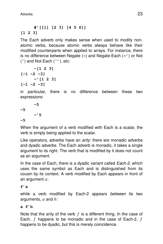#### **#'[[1] [2 3] [4 5 6]] [1 2 3]**

The Each adverb only makes sense when used to modify nonatomic verbs, because atomic verbs always behave like their modified counterparts when applied to arrays. For instance, there is no difference between Negate (**-**) and Negate-Each (**-'**) or Not (**˜**) and Not-Each (**˜'**), etc:

**-[1 2 3] [-1 -2 -3] -'[1 2 3] [-1 -2 -3]**

in particular, there is no difference between these two expressions:

```
-5
-5
      -'5
-5
```
When the argument of a verb modified with Each is a scalar, the verb is simply being applied to the scalar.

Like operators, adverbs have an  $arity$ : there are monadic adverbs and dyadic adverbs. The Each adverb is monadic, it takes a single argument to its right. The verb that is modified by it does not count as an argument.

In the case of Each, there is a dyadic variant called *Each-2*, which uses the same symbol as Each and is distinguished from its cousin by its context. A verb modified by Each appears in front of an argument *a*:

#### **f'a**

while a verb modified by Each-2 appears between its two arguments, *a* and *b*:

#### **a f'b**

Note that the arity of the verb *f* is a different thing. In the case of Each, *f* happens to be monadic and in the case of Each-2, *f* happens to be dyadic, but this is merely coincidence.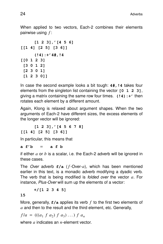When applied to two vectors, Each-2 combines their elements pairwise using *f* :

```
[1 2 3],'[4 5 6]
[[1 4] [2 5] [3 6]]
     (!4):+'4#,!4
[[0 1 2 3]
[3 0 1 2]
 [2 3 0 1]
 [1 2 3 0]]
```
In case the second example looks a bit tough: **4#,!4** takes four elements from the singleton list containing the vector **[0 1 2 3]**, giving a matrix containing the same row four times. **(!4):+'** then rotates each element by a different amount.

Again, Klong is relaxed about argument shapes. When the two arguments of Each-2 have different sizes, the excess elements of the longer vector will be ignored:

**[1 2 3],'[4 5 6 7 8] [[1 4] [2 5] [3 6]]**

In particular, this means that

**a f'b** = **afb**

if either *a* or *b* is a scalar, i.e. the Each-2 adverb will be ignored in these cases.

The Over adverb **f/a** ( *f* -Over-*a*), which has been mentioned earlier in this text, is a monadic adverb modifying a dyadic verb. The verb that is being modified is folded over the vector *a*. For instance, *Plus-Over* will sum up the elements of a vector:

**+/[1 2 3 4 5]**

#### **15**

More, generally, **f/a** applies its verb *f* to the first two elements of *a* and then to the result and the third element, etc. Generally,

$$
f/a = (((a_1 \ f \ a_2) \ f \ a_3) \dots) \ f \ a_n
$$

where *a* indicates an *n*-element vector.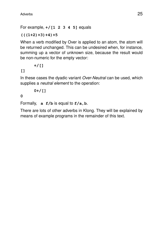#### For example, **+/[1 2 3 4 5]** equals

#### **(((1+2)+3)+4)+5**

When a verb modified by Over is applied to an atom, the atom will be returned unchanged. This can be undesired when, for instance, summing up a vector of unknown size, because the result would be non-numeric for the empty vector:

$$
^{+/[]}
$$

#### **[]**

In these cases the dyadic variant Over-Neutral can be used, which supplies a *neutral element* to the operation:

$$
0+\big/\,[\,]
$$

#### **0**

Formally, **a f/b** is equal to **f/a,b**.

There are lots of other adverbs in Klong. They will be explained by means of example programs in the remainder of this text.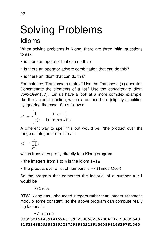# Solving Problems

## Idioms

When solving problems in Klong, there are three initial questions to ask:

- is there an operator that can do this?
- is there an operator-adverb combination that can do this?
- is there an idiom that can do this?

For instance: Transpose a matrix? Use the Transpose (**+**) operator. Concatenate the elements of a list? Use the concatenate idiom Join-Over (**,/**). Let us have a look at a more complex example, like the factorial function, which is defined here (slightly simplified by ignoring the case  $0!$ ) as follows:

$$
n! = \begin{cases} 1 & \text{if } n = 1 \\ n(n-1)! & \text{otherwise} \end{cases}
$$

A different way to spell this out would be: ''the product over the range of integers from 1 to *n*'':

$$
n! = \prod_{i=1}^n i
$$

which translates pretty directly to a Klong program:

- the integers from 1 to *n* is the idiom **1+!n**
- the product over a list of numbers is **\*/** (Times-Over)

So the program that computes the factorial of a number  $n \geq 1$ would be

#### **\*/1+!n**

BTW, Klong has unbounded integers rather than integer arithmetic modulo some constant, so the above program can compute really big factorials:

#### **\*/1+!100**

#### **933262154439441526816992388562667004907159682643 816214685929638952175999932299156089414639761565**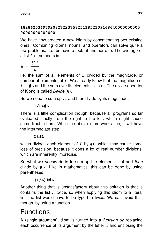#### **182862536979208272237582511852109168640000000000 00000000000000**

We have now created a new idiom by concatenating two existing ones. Combining idioms, nouns, and operators can solve quite a few problems. Let us have a look at another one. The average of a list *L* of numbers is

$$
\mu = \frac{\sum L}{|L|}
$$

i.e. the sum of all elements of *L* divided by the magnitude, or number of elements, of *L*. We already know that the magnitude of *L* is **#L** and the sum over its elements is **+/L**. The divide operator of Klong is called Divide (**%**).

So we need to sum up *L* and then divide by its magnitude:

#### **+/L%#L**

There is a little complication though, because all programs so far evaluated strictly from the right to the left, which might cause some trouble here. While the above idiom works fine, it will have the intermediate step

#### **L%#L**

which divides each element of *L* by **#L**, which may cause some loss of precision, because it does a lot of real number divisions, which are inherently imprecise.

So what we *should* do is to sum up the elements first and then divide by **#L**. Like in mathematics, this can be done by using parentheses:

#### **(+/L)%#L**

Another thing that is unsatisfactory about this solution is that is contains the list *L* twice, so when applying this idiom to a literal list, the list would have to be typed in twice. We can avoid this, though, by using a function.

## Functions

A (single-argument) idiom is turned into a function by replacing each occurrence of its argument by the letter *x* and enclosing the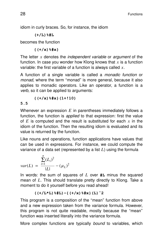idiom in curly braces. So, for instance, the idiom

#### **(+/L)%#L**

becomes the function

**{(+/x)%#x}**

The letter  $x$  denotes the *independent variable* or *argument* of the function. In case you wonder how Klong knows that *x* is a function variable: the first variable of a function is always called x.

A function of a single variable is called a *monadic function* or monad, where the term "monad" is more general, because it also applies to monadic operators. Like an operator, a function is a verb, so it can be applied to arguments:

$$
{(+/x) * \#x} (1 + 10)
$$

#### **5.5**

Whenever an expression *E* in parentheses immediately follows a function, the function is *applied* to that expression: first the value of *E* is computed and the result is substituted for each *x* in the idiom of the function. Then the resulting idiom is evaluated and its value is returned by the function.

Like nouns and operations, function applications have values that can be used in expressions. For instance, we could compute the variance of a data set (represented by a list  $L$ ) using the formula

$$
var(L) = \frac{\sum_{i=1}^{n} (L_i)^2}{|L|} - (\mu_L)^2
$$

In words: the sum of squares of *L* over **#L** minus the squared mean of *L*. This should translate pretty directly to Klong. Take a moment to do it yourself before you read ahead!

$$
((+/L * L) * #L) - { (+/x) * #x } (L) ^2
$$

This program is a composition of the "mean" function from above and a new expression taken from the variance formula. However, this program is not quite readable, mostly because the ''mean'' function was inserted literally into the variance formula.

More complex functions are typically bound to variables, which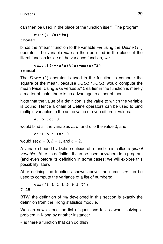can then be used in the place of the function itself. The program

**mu::{(+/x)%#x}**

#### **:monad**

binds the ''mean'' function to the var iable *mu* using the Define (**::**) operator. The variable *mu* can then be used in the place of the literal function inside of the variance function, *var*:

**var::{((+/x\*x)%#x)-mu(x)ˆ2}**

#### **:monad**

The *Power* (<sup> $\hat{ }$ </sup>) operator is used in the function to compute the square of the mean, because **mu(x)\*mu(x)** would compute the mean twice. Using **x\*x** versus **xˆ2** ear lier in the function is merely a matter of taste; there is no advantage to either of them.

Note that the value of a definition is the value to which the variable is bound. Hence a chain of Define operators can be used to bind multiple variables to the same value or even different values:

**a::b::c::0**

would bind all the variables  $a, b$ , and  $c$  to the value  $0$ , and

**c::1+b::1+a::0**

would set  $a = 0$ ,  $b = 1$ , and  $c = 2$ .

A variable bound by Define outside of a function is called a *global* variable. After its definition it can be used anywhere in a program (and even before its definition in some cases; we will explore this possibility later).

After defining the functions shown above, the name *var* can be used to compute the variance of a list of numbers:

#### **var([3 1 4 1 5 9 2 7])**

#### **7.25**

BTW, the definition of *mu* developed in this section is exactly the definition from the Klong statistics module.

We can now extend the list of questions to ask when solving a problem in Klong by another instance:

• is there a function that can do this?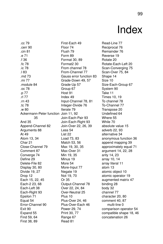## Index

.cc 79 .cerr 90 .cin 81 .e 71 .f 36 .fc 78 .ic 78 .l 83 .md 73 .mi 77 .module 84 .oc 78 .p 77 .rl 77 rn 43 .tc 78 .w 80 Ackermann-Peter function Join 11, 92 35 And 35 Append-Channel 82 Arguments 88 At 49 Atom 13, 34 Char 21 Close-Channel 79 Comment 87 Converge 74 Define 29 Delete-File 82 Display 30, 80 Divide 19, 27 Drop 12 Each 15, 22, 45 Each-2 23, 68 Each-Left 38 Each-Right 93 Epsilon 71 Equal 54 Error-Channel 90 Exit 90 Expand 55 Find 59, 64 First 38, 89

First-Each 49 Floor 74 Flush 79 Form 89 Format 30, 89 Format2 30 From channel 78 From-Channel 77 Gauss error function 83 Grade-Down 49, 57 Grade-Up 57 Group 67 Host 91 Index 49 Input-Channel 78, 81 Integer-Divide 76 Iterate 79 Join-Each-Pair 93 Join-Each-Right 93 Join-Over 22, 26, 39 Less 54 List 22 Load 73, 83 Match 53, 56 Max 19, 30, 35 Max-Over 31 Min 19, 35 Minus 19 More 54 More-Input 77 Negate 19 Not 19, 70 Or 35 Output-Channel 78 Over 22, 24, 84 Over-Neutral 25 Plus 10 Plus-Over 24, 46 Plus-Over-Each 46 Power 29, 74 Print 30, 77 Range 67 Read 81

Read-Line 77 Reciprocal 76 Remainder 76 Reverse 19 Rotate 20 Rotate-Each-Left 20 Scan-Converging 75 Scan-Over 75, 84 Shape 14 Size 10 Size-Each-Group 67 System 90 Take 11 Times 10, 19 To channel 78 To-Channel 77 Transpose 20 Undefined 64 Where 55 While 70 absolute value 15 adverb 22, 93 alternative 34 anonymous function 36 append mapping 39 approximately equal 71 argument 14, 22, 28 arity 14, 23 array 10, 14 array literal 11 atom 13 atomic object 10 atomic operator 19 augmented matrix 47 binding 28 body 32 channel 77 character 20, 80 comment 40, 87 multi-line 0 comparison operator 54 compatible shape 18, 46 concatenation 26